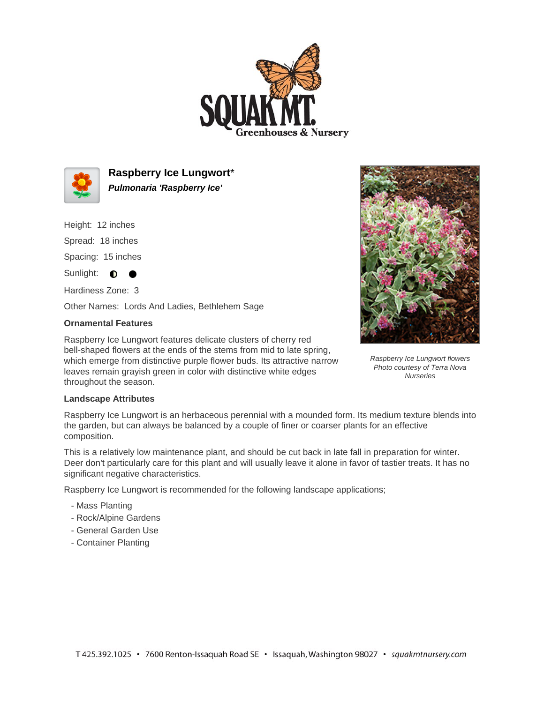



**Raspberry Ice Lungwort**\* **Pulmonaria 'Raspberry Ice'**

Height: 12 inches

Spread: 18 inches

Spacing: 15 inches

 $\bullet$ 

Sunlight:  $\bullet$ 

Hardiness Zone: 3

Other Names: Lords And Ladies, Bethlehem Sage

## **Ornamental Features**

Raspberry Ice Lungwort features delicate clusters of cherry red bell-shaped flowers at the ends of the stems from mid to late spring, which emerge from distinctive purple flower buds. Its attractive narrow leaves remain grayish green in color with distinctive white edges throughout the season.



Raspberry Ice Lungwort flowers Photo courtesy of Terra Nova **Nurseries** 

## **Landscape Attributes**

Raspberry Ice Lungwort is an herbaceous perennial with a mounded form. Its medium texture blends into the garden, but can always be balanced by a couple of finer or coarser plants for an effective composition.

This is a relatively low maintenance plant, and should be cut back in late fall in preparation for winter. Deer don't particularly care for this plant and will usually leave it alone in favor of tastier treats. It has no significant negative characteristics.

Raspberry Ice Lungwort is recommended for the following landscape applications;

- Mass Planting
- Rock/Alpine Gardens
- General Garden Use
- Container Planting